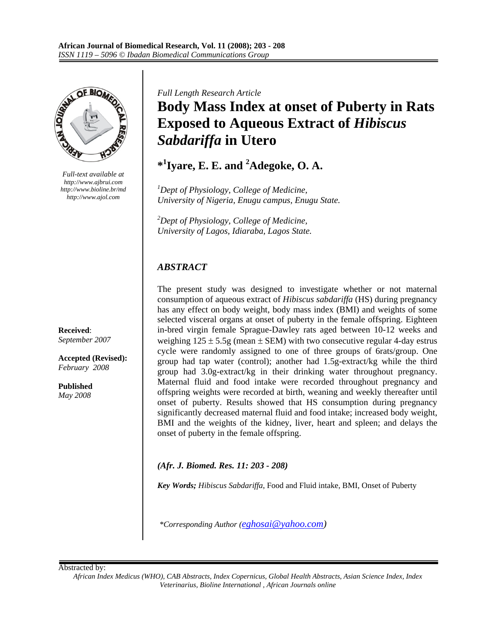

*Full-text available at http://www.ajbrui.com http://www.bioline.br/md http://www.ajol.com* 

**Received**: *September 2007* 

**Accepted (Revised):**  *February 2008* 

**Published**  *May 2008*  *Full Length Research Article* 

# **Body Mass Index at onset of Puberty in Rats Exposed to Aqueous Extract of** *Hibiscus Sabdariffa* **in Utero**

**\*1 Iyare, E. E. and <sup>2</sup> Adegoke, O. A.** 

*1 Dept of Physiology, College of Medicine, University of Nigeria, Enugu campus, Enugu State.* 

*2 Dept of Physiology, College of Medicine, University of Lagos, Idiaraba, Lagos State.* 

# *ABSTRACT*

The present study was designed to investigate whether or not maternal consumption of aqueous extract of *Hibiscus sabdariffa* (HS) during pregnancy has any effect on body weight, body mass index (BMI) and weights of some selected visceral organs at onset of puberty in the female offspring. Eighteen in-bred virgin female Sprague-Dawley rats aged between 10-12 weeks and weighing  $125 \pm 5.5$ g (mean  $\pm$  SEM) with two consecutive regular 4-day estrus cycle were randomly assigned to one of three groups of 6rats/group. One group had tap water (control); another had 1.5g-extract/kg while the third group had 3.0g-extract/kg in their drinking water throughout pregnancy. Maternal fluid and food intake were recorded throughout pregnancy and offspring weights were recorded at birth, weaning and weekly thereafter until onset of puberty. Results showed that HS consumption during pregnancy significantly decreased maternal fluid and food intake; increased body weight, BMI and the weights of the kidney, liver, heart and spleen; and delays the onset of puberty in the female offspring.

*(Afr. J. Biomed. Res. 11: 203 - 208)*

*Key Words; Hibiscus Sabdariffa*, Food and Fluid intake, BMI, Onset of Puberty

*\*Corresponding Author (eghosai@yahoo.com)* 

Abstracted by:

*African Index Medicus (WHO), CAB Abstracts, Index Copernicus, Global Health Abstracts, Asian Science Index, Index Veterinarius, Bioline International , African Journals online*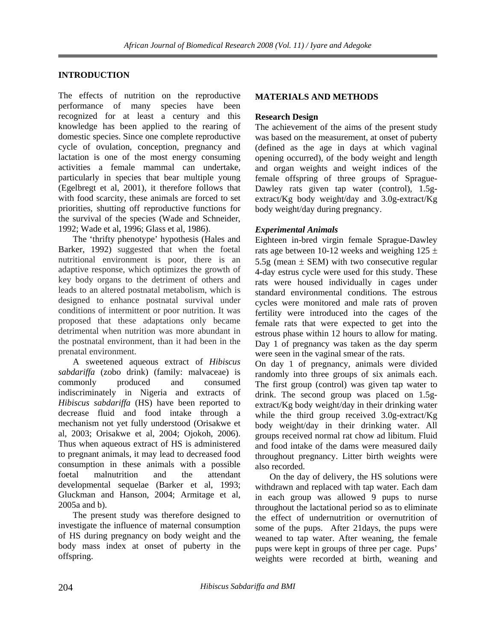# **INTRODUCTION**

The effects of nutrition on the reproductive performance of many species have been recognized for at least a century and this knowledge has been applied to the rearing of domestic species. Since one complete reproductive cycle of ovulation, conception, pregnancy and lactation is one of the most energy consuming activities a female mammal can undertake, particularly in species that bear multiple young (Egelbregt et al, 2001), it therefore follows that with food scarcity, these animals are forced to set priorities, shutting off reproductive functions for the survival of the species (Wade and Schneider, 1992; Wade et al, 1996; Glass et al, 1986).

 The 'thrifty phenotype' hypothesis (Hales and Barker, 1992) suggested that when the foetal nutritional environment is poor, there is an adaptive response, which optimizes the growth of key body organs to the detriment of others and leads to an altered postnatal metabolism, which is designed to enhance postnatal survival under conditions of intermittent or poor nutrition. It was proposed that these adaptations only became detrimental when nutrition was more abundant in the postnatal environment, than it had been in the prenatal environment.

 A sweetened aqueous extract of *Hibiscus sabdariffa* (zobo drink) (family: malvaceae) is commonly produced and consumed indiscriminately in Nigeria and extracts of *Hibiscus sabdariffa* (HS) have been reported to decrease fluid and food intake through a mechanism not yet fully understood (Orisakwe et al, 2003; Orisakwe et al, 2004; Ojokoh, 2006). Thus when aqueous extract of HS is administered to pregnant animals, it may lead to decreased food consumption in these animals with a possible foetal malnutrition and the attendant developmental sequelae (Barker et al, 1993; Gluckman and Hanson, 2004; Armitage et al, 2005a and b).

 The present study was therefore designed to investigate the influence of maternal consumption of HS during pregnancy on body weight and the body mass index at onset of puberty in the offspring.

# **MATERIALS AND METHODS**

# **Research Design**

The achievement of the aims of the present study was based on the measurement, at onset of puberty (defined as the age in days at which vaginal opening occurred), of the body weight and length and organ weights and weight indices of the female offspring of three groups of Sprague-Dawley rats given tap water (control), 1.5gextract/Kg body weight/day and 3.0g-extract/Kg body weight/day during pregnancy.

# *Experimental Animals*

Eighteen in-bred virgin female Sprague-Dawley rats age between 10-12 weeks and weighing  $125 \pm$ 5.5g (mean  $\pm$  SEM) with two consecutive regular 4-day estrus cycle were used for this study. These rats were housed individually in cages under standard environmental conditions. The estrous cycles were monitored and male rats of proven fertility were introduced into the cages of the female rats that were expected to get into the estrous phase within 12 hours to allow for mating. Day 1 of pregnancy was taken as the day sperm were seen in the vaginal smear of the rats.

On day 1 of pregnancy, animals were divided randomly into three groups of six animals each. The first group (control) was given tap water to drink. The second group was placed on 1.5gextract/Kg body weight/day in their drinking water while the third group received 3.0g-extract/Kg body weight/day in their drinking water. All groups received normal rat chow ad libitum. Fluid and food intake of the dams were measured daily throughout pregnancy. Litter birth weights were also recorded.

 On the day of delivery, the HS solutions were withdrawn and replaced with tap water. Each dam in each group was allowed 9 pups to nurse throughout the lactational period so as to eliminate the effect of undernutrition or overnutrition of some of the pups. After 21days, the pups were weaned to tap water. After weaning, the female pups were kept in groups of three per cage. Pups' weights were recorded at birth, weaning and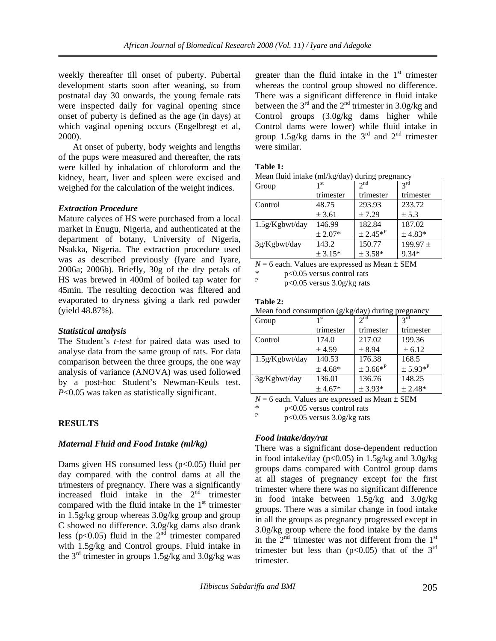weekly thereafter till onset of puberty. Pubertal development starts soon after weaning, so from postnatal day 30 onwards, the young female rats were inspected daily for vaginal opening since onset of puberty is defined as the age (in days) at which vaginal opening occurs (Engelbregt et al, 2000).

 At onset of puberty, body weights and lengths of the pups were measured and thereafter, the rats were killed by inhalation of chloroform and the kidney, heart, liver and spleen were excised and weighed for the calculation of the weight indices.

## *Extraction Procedure*

Mature calyces of HS were purchased from a local market in Enugu, Nigeria, and authenticated at the department of botany, University of Nigeria, Nsukka, Nigeria. The extraction procedure used was as described previously (Iyare and Iyare, 2006a; 2006b). Briefly, 30g of the dry petals of HS was brewed in 400ml of boiled tap water for 45min. The resulting decoction was filtered and evaporated to dryness giving a dark red powder (yield 48.87%).

#### *Statistical analysis*

The Student's *t-test* for paired data was used to analyse data from the same group of rats. For data comparison between the three groups, the one way analysis of variance (ANOVA) was used followed by a post-hoc Student's Newman-Keuls test. *P*<0.05 was taken as statistically significant.

# **RESULTS**

# *Maternal Fluid and Food Intake (ml/kg)*

Dams given HS consumed less  $(p<0.05)$  fluid per day compared with the control dams at all the trimesters of pregnancy. There was a significantly increased fluid intake in the  $2<sup>nd</sup>$  trimester compared with the fluid intake in the  $1<sup>st</sup>$  trimester in 1.5g/kg group whereas 3.0g/kg group and group C showed no difference. 3.0g/kg dams also drank less (p<0.05) fluid in the  $2<sup>nd</sup>$  trimester compared with 1.5g/kg and Control groups. Fluid intake in the  $3<sup>rd</sup>$  trimester in groups 1.5g/kg and 3.0g/kg was

greater than the fluid intake in the  $1<sup>st</sup>$  trimester whereas the control group showed no difference. There was a significant difference in fluid intake between the  $3<sup>rd</sup>$  and the  $2<sup>nd</sup>$  trimester in 3.0g/kg and Control groups (3.0g/kg dams higher while Control dams were lower) while fluid intake in group 1.5g/kg dams in the  $3<sup>rd</sup>$  and  $2<sup>nd</sup>$  trimester were similar.

#### **Table 1:**

Mean fluid intake (ml/kg/day) during pregnancy

| Group             | 1 <sup>st</sup> | 2 <sup>nd</sup> | $2^{\text{rd}}$ |
|-------------------|-----------------|-----------------|-----------------|
|                   | trimester       | trimester       | trimester       |
| Control           | 48.75           | 293.93          | 233.72          |
|                   | ± 3.61          | ± 7.29          | ± 5.3           |
| $1.5g/Kg$ bwt/day | 146.99          | 182.84          | 187.02          |
|                   | $± 2.07*$       | $± 2.45*^{P}$   | $± 4.83*$       |
| $3g/Kg$ bwt/day   | 143.2           | 150.77          | $199.97 \pm$    |
|                   | $± 3.15*$       | $± 3.58*$       | 9.34*           |

 $N = 6$  each. Values are expressed as Mean  $\pm$  SEM

 $p<0.05$  versus control rats P

p<0.05 versus 3.0g/kg rats

#### **Table 2:**

Mean food consumption (g/kg/day) during pregnancy

|                   | $\sim$    |               |                 |
|-------------------|-----------|---------------|-----------------|
| Group             | 1 st      | $2^{nd}$      | $2^{\text{rd}}$ |
|                   | trimester | trimester     | trimester       |
| Control           | 174.0     | 217.02        | 199.36          |
|                   | ± 4.59    | ± 8.94        | ± 6.12          |
| $1.5g/Kg$ bwt/day | 140.53    | 176.38        | 168.5           |
|                   | $± 4.68*$ | $± 3.66*^{P}$ | $± 5.93*P$      |
| $3g/Kg$ bwt/day   | 136.01    | 136.76        | 148.25          |
|                   | $± 4.67*$ | $± 3.93*$     | $± 2.48*$       |

 $N = 6$  each. Values are expressed as Mean  $\pm$  SEM

\* p<0.05 versus control rats<br> $p \le 0.05$  versus  $\frac{2}{3}$  Os/kg rats

<sup>P</sup> p<0.05 versus 3.0g/kg rats

# *Food intake/day/rat*

There was a significant dose-dependent reduction in food intake/day ( $p<0.05$ ) in 1.5g/kg and 3.0g/kg groups dams compared with Control group dams at all stages of pregnancy except for the first trimester where there was no significant difference in food intake between 1.5g/kg and 3.0g/kg groups. There was a similar change in food intake in all the groups as pregnancy progressed except in 3.0g/kg group where the food intake by the dams in the  $2<sup>nd</sup>$  trimester was not different from the  $1<sup>st</sup>$ trimester but less than ( $p<0.05$ ) that of the 3<sup>rd</sup> trimester.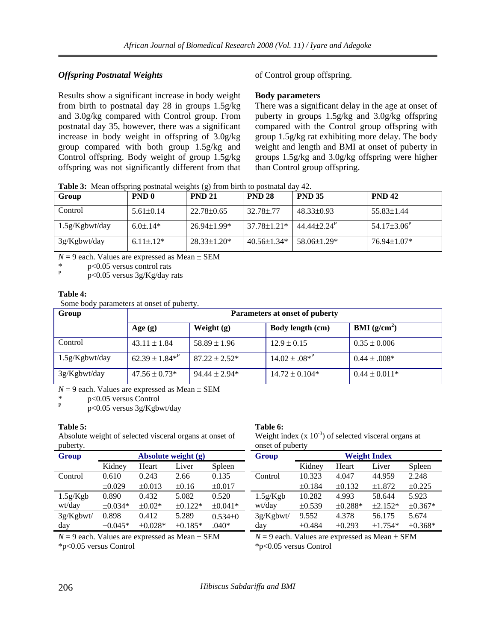# *Offspring Postnatal Weights*

Results show a significant increase in body weight from birth to postnatal day 28 in groups 1.5g/kg and 3.0g/kg compared with Control group. From postnatal day 35, however, there was a significant increase in body weight in offspring of 3.0g/kg group compared with both group 1.5g/kg and Control offspring. Body weight of group 1.5g/kg offspring was not significantly different from that of Control group offspring.

# **Body parameters**

There was a significant delay in the age at onset of puberty in groups 1.5g/kg and 3.0g/kg offspring compared with the Control group offspring with group 1.5g/kg rat exhibiting more delay. The body weight and length and BMI at onset of puberty in groups 1.5g/kg and 3.0g/kg offspring were higher than Control group offspring.

**Table 3:** Mean offspring postnatal weights (g) from birth to postnatal day 42.

| Group          | PND <sub>0</sub> | <b>PND 21</b>      | <b>PND 28</b>      | <b>PND 35</b>               | <b>PND 42</b>     |
|----------------|------------------|--------------------|--------------------|-----------------------------|-------------------|
| Control        | $5.61 + 0.14$    | $22.78 \pm 0.65$   | $32.78 \pm .77$    | $48.33\pm0.93$              | $55.83\pm1.44$    |
| 1.5g/Kgbwt/day | $6.0 \pm 0.14*$  | $26.94 \pm 1.99*$  | 37.78±1.21*        | $44.44 + 2.24$ <sup>P</sup> | $54.17\pm3.06^P$  |
| 3g/Kgbwt/day   | $6.11 \pm 0.12*$ | $28.33 \pm 1.20^*$ | $40.56 \pm 1.34$ * | $58.06 \pm 1.29$ *          | $76.94 \pm 1.07*$ |

 $N = 9$  each. Values are expressed as Mean  $\pm$  SEM

p<0.05 versus control rats P

p<0.05 versus 3g/Kg/day rats

## **Table 4:**

Some body parameters at onset of puberty.

| Group           | Parameters at onset of puberty |                    |                         |                         |  |  |
|-----------------|--------------------------------|--------------------|-------------------------|-------------------------|--|--|
|                 | Age $(g)$                      | Weight $(g)$       | <b>Body length (cm)</b> | BMI(g/cm <sup>2</sup> ) |  |  |
| Control         | $43.11 \pm 1.84$               | $58.89 \pm 1.96$   | $12.9 \pm 0.15$         | $0.35 \pm 0.006$        |  |  |
| 1.5g/Kgbwt/day  | $62.39 \pm 1.84*^P$            | $87.22 \pm 2.52^*$ | $14.02 \pm .08^{*P}$    | $0.44 \pm 0.008*$       |  |  |
| $3g/Kg$ bwt/day | $47.56 \pm 0.73*$              | $94.44 \pm 2.94*$  | $14.72 \pm 0.104*$      | $0.44 \pm 0.011*$       |  |  |

 $N = 9$  each. Values are expressed as Mean  $\pm$  SEM

p<0.05 versus Control

P p<0.05 versus 3g/Kgbwt/day

# **Table 5:**

Absolute weight of selected visceral organs at onset of puberty.

| pubelly.  |                       |              |              | Offset of pubelly |                     |        |              |              |              |
|-----------|-----------------------|--------------|--------------|-------------------|---------------------|--------|--------------|--------------|--------------|
| Group     | Absolute weight $(g)$ |              |              | Group             | <b>Weight Index</b> |        |              |              |              |
|           | Kidney                | Heart        | Liver        | Spleen            |                     | Kidney | Heart        | Liver        | Spleen       |
| Control   | 0.610                 | 0.243        | 2.66         | 0.135             | Control             | 10.323 | 4.047        | 44.959       | 2.248        |
|           | $\pm 0.029$           | $\pm 0.013$  | $\pm 0.16$   | $\pm 0.017$       |                     | ±0.184 | $\pm 0.132$  | ±1.872       | $\pm 0.225$  |
| 1.5g/Kgb  | 0.890                 | 0.432        | 5.082        | 0.520             | 1.5g/Kgb            | 10.282 | 4.993        | 58.644       | 5.923        |
| wt/day    | $\pm 0.034*$          | $\pm 0.02*$  | $\pm 0.122*$ | $\pm 0.041*$      | wt/day              | ±0.539 | $\pm 0.288*$ | $\pm 2.152*$ | $\pm 0.367*$ |
| 3g/Kgbwt/ | 0.898                 | 0.412        | 5.289        | $0.534 \pm 0$     | 3g/Kgbwt/           | 9.552  | 4.378        | 56.175       | 5.674        |
| day       | $\pm 0.045*$          | $\pm 0.028*$ | $\pm 0.185*$ | $.040*$           | day                 | ±0.484 | $\pm 0.293$  | $±1.754*$    | $\pm 0.368*$ |

**Table 6:** 

onset of puberty

 $N = 9$  each. Values are expressed as Mean  $\pm$  SEM \*p<0.05 versus Control

 $N = 9$  each. Values are expressed as Mean  $\pm$  SEM \*p<0.05 versus Control

Weight index  $(x 10^{-3})$  of selected visceral organs at

206 *Hibiscus Sabdariffa and BMI*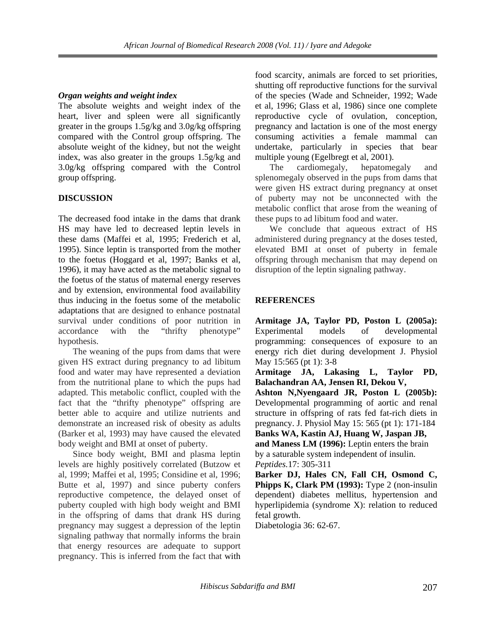# *Organ weights and weight index*

The absolute weights and weight index of the heart, liver and spleen were all significantly greater in the groups 1.5g/kg and 3.0g/kg offspring compared with the Control group offspring. The absolute weight of the kidney, but not the weight index, was also greater in the groups 1.5g/kg and 3.0g/kg offspring compared with the Control group offspring.

## **DISCUSSION**

The decreased food intake in the dams that drank HS may have led to decreased leptin levels in these dams (Maffei et al, 1995; Frederich et al, 1995). Since leptin is transported from the mother to the foetus (Hoggard et al, 1997; Banks et al, 1996), it may have acted as the metabolic signal to the foetus of the status of maternal energy reserves and by extension, environmental food availability thus inducing in the foetus some of the metabolic adaptations that are designed to enhance postnatal survival under conditions of poor nutrition in accordance with the "thrifty phenotype" hypothesis.

 The weaning of the pups from dams that were given HS extract during pregnancy to ad libitum food and water may have represented a deviation from the nutritional plane to which the pups had adapted. This metabolic conflict, coupled with the fact that the "thrifty phenotype" offspring are better able to acquire and utilize nutrients and demonstrate an increased risk of obesity as adults (Barker et al, 1993) may have caused the elevated body weight and BMI at onset of puberty.

 Since body weight, BMI and plasma leptin levels are highly positively correlated (Butzow et al, 1999; Maffei et al, 1995; Considine et al, 1996; Butte et al, 1997) and since puberty confers reproductive competence, the delayed onset of puberty coupled with high body weight and BMI in the offspring of dams that drank HS during pregnancy may suggest a depression of the leptin signaling pathway that normally informs the brain that energy resources are adequate to support pregnancy. This is inferred from the fact that with

food scarcity, animals are forced to set priorities, shutting off reproductive functions for the survival of the species (Wade and Schneider, 1992; Wade et al, 1996; Glass et al, 1986) since one complete reproductive cycle of ovulation, conception, pregnancy and lactation is one of the most energy consuming activities a female mammal can undertake, particularly in species that bear multiple young (Egelbregt et al, 2001).

 The cardiomegaly, hepatomegaly and splenomegaly observed in the pups from dams that were given HS extract during pregnancy at onset of puberty may not be unconnected with the metabolic conflict that arose from the weaning of these pups to ad libitum food and water.

 We conclude that aqueous extract of HS administered during pregnancy at the doses tested, elevated BMI at onset of puberty in female offspring through mechanism that may depend on disruption of the leptin signaling pathway.

# **REFERENCES**

**Armitage JA, Taylor PD, Poston L (2005a):**  Experimental models of developmental programming: consequences of exposure to an energy rich diet during development J. Physiol May 15:565 (pt 1): 3-8

**Armitage JA, Lakasing L, Taylor PD, Balachandran AA, Jensen RI, Dekou V,** 

**Ashton N,Nyengaard JR, Poston L (2005b):**  Developmental programming of aortic and renal structure in offspring of rats fed fat-rich diets in pregnancy. J. Physiol May 15: 565 (pt 1): 171-184

**Banks WA, Kastin AJ, Huang W, Jaspan JB, and Maness LM (1996):** Leptin enters the brain by a saturable system independent of insulin.

*Peptides.*17: 305-311

**Barker DJ, Hales CN, Fall CH, Osmond C, Phipps K, Clark PM (1993):** Type 2 (non-insulin dependent) diabetes mellitus, hypertension and hyperlipidemia (syndrome X): relation to reduced fetal growth.

Diabetologia 36: 62-67.